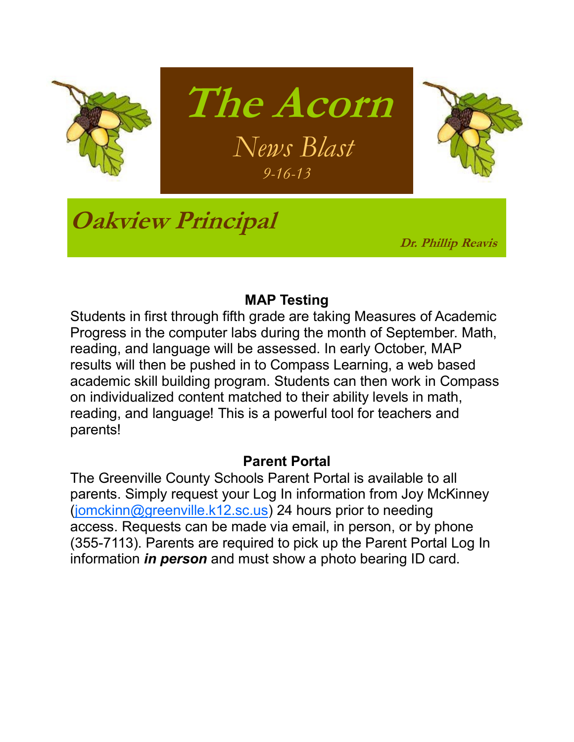

### **MAP Testing**

Students in first through fifth grade are taking Measures of Academic Progress in the computer labs during the month of September. Math, reading, and language will be assessed. In early October, MAP results will then be pushed in to Compass Learning, a web based academic skill building program. Students can then work in Compass on individualized content matched to their ability levels in math, reading, and language! This is a powerful tool for teachers and parents!

#### **Parent Portal**

The Greenville County Schools Parent Portal is available to all parents. Simply request your Log In information from Joy McKinney ([jomckinn@greenville.k12.sc.us\)](mailto:jomckinn@greenville.k12.sc.us) 24 hours prior to needing access. Requests can be made via email, in person, or by phone (355-7113). Parents are required to pick up the Parent Portal Log In information *in person* and must show a photo bearing ID card.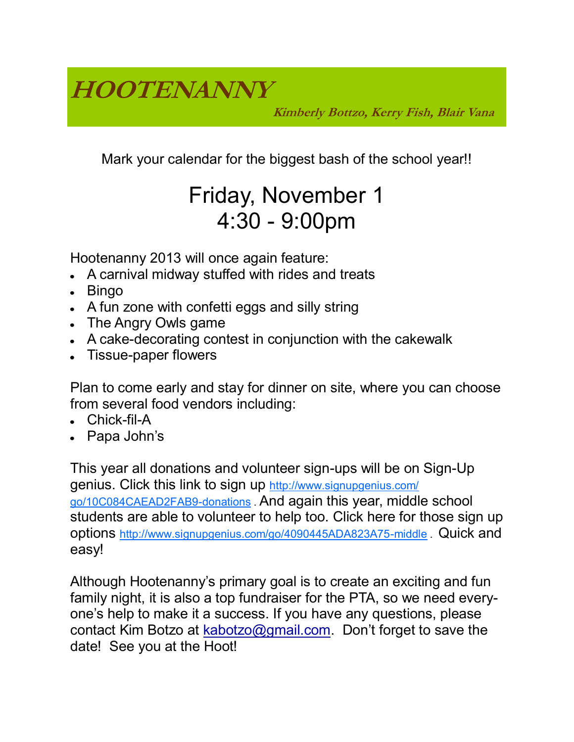**HOOTENANNY**

**Kimberly Bottzo, Kerry Fish, Blair Vana**

Mark your calendar for the biggest bash of the school year!!

### Friday, November 1 4:30 - 9:00pm

Hootenanny 2013 will once again feature:

- A carnival midway stuffed with rides and treats
- Bingo
- A fun zone with confetti eggs and silly string
- The Angry Owls game
- A cake-decorating contest in conjunction with the cakewalk
- Tissue-paper flowers

Plan to come early and stay for dinner on site, where you can choose from several food vendors including:

- Chick-fil-A
- Papa John's

This year all donations and volunteer sign-ups will be on Sign-Up genius. Click this link to sign up [http://www.signupgenius.com/](http://www.signupgenius.com/go/10C084CAEAD2FAB9-donations) [go/10C084CAEAD2FAB9-donations](http://www.signupgenius.com/go/10C084CAEAD2FAB9-donations) . And again this year, middle school students are able to volunteer to help too. Click here for those sign up options <http://www.signupgenius.com/go/4090445ADA823A75-middle> . Quick and easy!

Although Hootenanny's primary goal is to create an exciting and fun family night, it is also a top fundraiser for the PTA, so we need everyone's help to make it a success. If you have any questions, please contact Kim Botzo at [kabotzo@gmail.com](mailto:kabotzo@gmail.com). Don't forget to save the date! See you at the Hoot!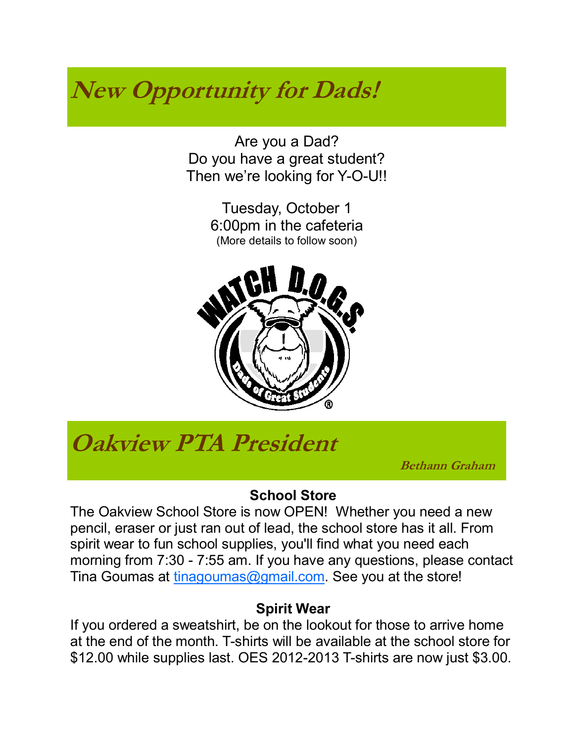## **New Opportunity for Dads!**

Are you a Dad? Do you have a great student? Then we're looking for Y-O-U!!

> Tuesday, October 1 6:00pm in the cafeteria (More details to follow soon)



### **Oakview PTA President**

 **Bethann Graham**

### **School Store**

The Oakview School Store is now OPEN! Whether you need a new pencil, eraser or just ran out of lead, the school store has it all. From spirit wear to fun school supplies, you'll find what you need each morning from 7:30 - 7:55 am. If you have any questions, please contact Tina Goumas at [tinagoumas@gmail.com.](mailto:tinagoumas@gmail.com) See you at the store!

### **Spirit Wear**

If you ordered a sweatshirt, be on the lookout for those to arrive home at the end of the month. T-shirts will be available at the school store for \$12.00 while supplies last. OES 2012-2013 T-shirts are now just \$3.00.